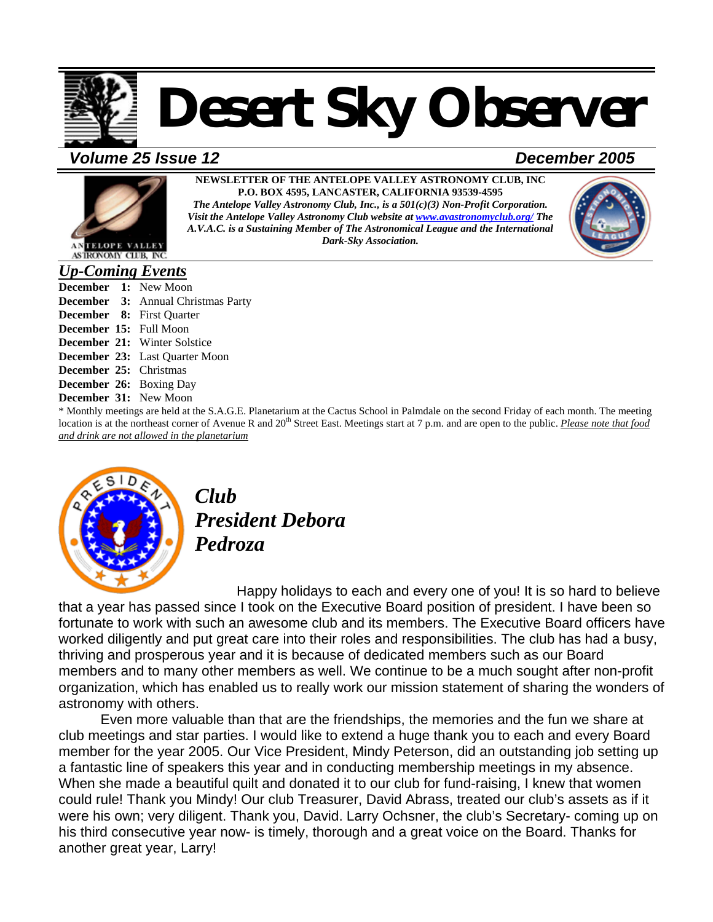

#### *Volume 25 Issue 12**December 2005*



**NEWSLETTER OF THE ANTELOPE VALLEY ASTRONOMY CLUB, INC P.O. BOX 4595, LANCASTER, CALIFORNIA 93539-4595**  *The Antelope Valley Astronomy Club, Inc., is a 501(c)(3) Non-Profit Corporation. Visit the Antelope Valley Astronomy Club website at [www.avastronomyclub.org/](http://www.avastronomyclub.org/) The A.V.A.C. is a Sustaining Member of The Astronomical League and the International* 





ASTRONOMY CIUB, INC.

#### *Up-Coming Events*

**December 1:** New Moon **December 3:** Annual Christmas Party **December 8:** First Quarter **December 15:** Full Moon **December 21:** Winter Solstice **December 23:** Last Quarter Moon **December 25:** Christmas **December 26:** Boxing Day **December 31:** New Moon

\* Monthly meetings are held at the S.A.G.E. Planetarium at the Cactus School in Palmdale on the second Friday of each month. The meeting location is at the northeast corner of Avenue R and 20<sup>th</sup> Street East. Meetings start at 7 p.m. and are open to the public. *Please note that food and drink are not allowed in the planetarium*



*Club President Debora Pedroza* 

Happy holidays to each and every one of you! It is so hard to believe that a year has passed since I took on the Executive Board position of president. I have been so fortunate to work with such an awesome club and its members. The Executive Board officers have worked diligently and put great care into their roles and responsibilities. The club has had a busy, thriving and prosperous year and it is because of dedicated members such as our Board members and to many other members as well. We continue to be a much sought after non-profit organization, which has enabled us to really work our mission statement of sharing the wonders of astronomy with others.

Even more valuable than that are the friendships, the memories and the fun we share at club meetings and star parties. I would like to extend a huge thank you to each and every Board member for the year 2005. Our Vice President, Mindy Peterson, did an outstanding job setting up a fantastic line of speakers this year and in conducting membership meetings in my absence. When she made a beautiful quilt and donated it to our club for fund-raising, I knew that women could rule! Thank you Mindy! Our club Treasurer, David Abrass, treated our club's assets as if it were his own; very diligent. Thank you, David. Larry Ochsner, the club's Secretary- coming up on his third consecutive year now- is timely, thorough and a great voice on the Board. Thanks for another great year, Larry!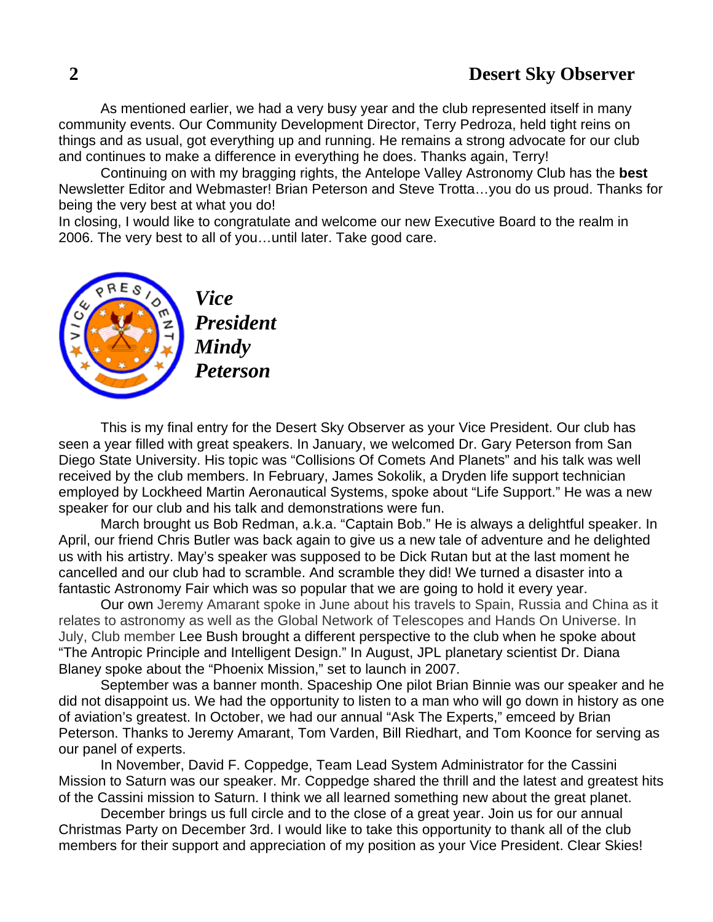As mentioned earlier, we had a very busy year and the club represented itself in many community events. Our Community Development Director, Terry Pedroza, held tight reins on things and as usual, got everything up and running. He remains a strong advocate for our club and continues to make a difference in everything he does. Thanks again, Terry!

Continuing on with my bragging rights, the Antelope Valley Astronomy Club has the **best** Newsletter Editor and Webmaster! Brian Peterson and Steve Trotta…you do us proud. Thanks for being the very best at what you do!

In closing, I would like to congratulate and welcome our new Executive Board to the realm in 2006. The very best to all of you…until later. Take good care.



*Vice President Mindy Peterson* 

This is my final entry for the Desert Sky Observer as your Vice President. Our club has seen a year filled with great speakers. In January, we welcomed Dr. Gary Peterson from San Diego State University. His topic was "Collisions Of Comets And Planets" and his talk was well received by the club members. In February, James Sokolik, a Dryden life support technician employed by Lockheed Martin Aeronautical Systems, spoke about "Life Support." He was a new speaker for our club and his talk and demonstrations were fun.

March brought us Bob Redman, a.k.a. "Captain Bob." He is always a delightful speaker. In April, our friend Chris Butler was back again to give us a new tale of adventure and he delighted us with his artistry. May's speaker was supposed to be Dick Rutan but at the last moment he cancelled and our club had to scramble. And scramble they did! We turned a disaster into a fantastic Astronomy Fair which was so popular that we are going to hold it every year.

 Our own Jeremy Amarant spoke in June about his travels to Spain, Russia and China as it relates to astronomy as well as the Global Network of Telescopes and Hands On Universe. In July, Club member Lee Bush brought a different perspective to the club when he spoke about "The Antropic Principle and Intelligent Design." In August, JPL planetary scientist Dr. Diana Blaney spoke about the "Phoenix Mission," set to launch in 2007.

September was a banner month. Spaceship One pilot Brian Binnie was our speaker and he did not disappoint us. We had the opportunity to listen to a man who will go down in history as one of aviation's greatest. In October, we had our annual "Ask The Experts," emceed by Brian Peterson. Thanks to Jeremy Amarant, Tom Varden, Bill Riedhart, and Tom Koonce for serving as our panel of experts.

In November, David F. Coppedge, Team Lead System Administrator for the Cassini Mission to Saturn was our speaker. Mr. Coppedge shared the thrill and the latest and greatest hits of the Cassini mission to Saturn. I think we all learned something new about the great planet.

December brings us full circle and to the close of a great year. Join us for our annual Christmas Party on December 3rd. I would like to take this opportunity to thank all of the club members for their support and appreciation of my position as your Vice President. Clear Skies!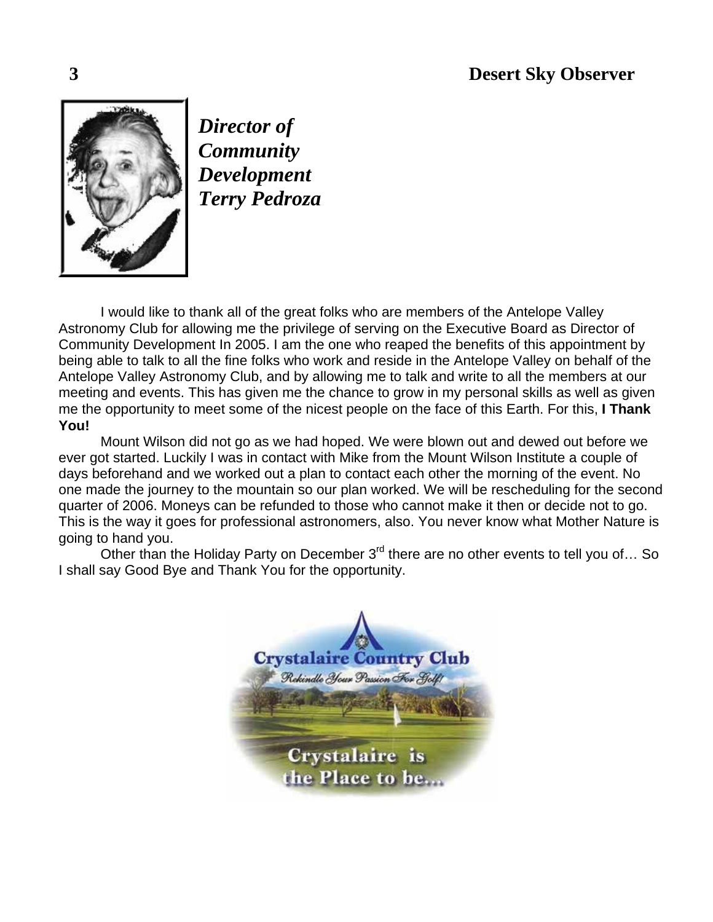

*Director of Community Development Terry Pedroza* 

I would like to thank all of the great folks who are members of the Antelope Valley Astronomy Club for allowing me the privilege of serving on the Executive Board as Director of Community Development In 2005. I am the one who reaped the benefits of this appointment by being able to talk to all the fine folks who work and reside in the Antelope Valley on behalf of the Antelope Valley Astronomy Club, and by allowing me to talk and write to all the members at our meeting and events. This has given me the chance to grow in my personal skills as well as given me the opportunity to meet some of the nicest people on the face of this Earth. For this, **I Thank You!** 

Mount Wilson did not go as we had hoped. We were blown out and dewed out before we ever got started. Luckily I was in contact with Mike from the Mount Wilson Institute a couple of days beforehand and we worked out a plan to contact each other the morning of the event. No one made the journey to the mountain so our plan worked. We will be rescheduling for the second quarter of 2006. Moneys can be refunded to those who cannot make it then or decide not to go. This is the way it goes for professional astronomers, also. You never know what Mother Nature is going to hand you.

Other than the Holiday Party on December 3<sup>rd</sup> there are no other events to tell you of... So I shall say Good Bye and Thank You for the opportunity.

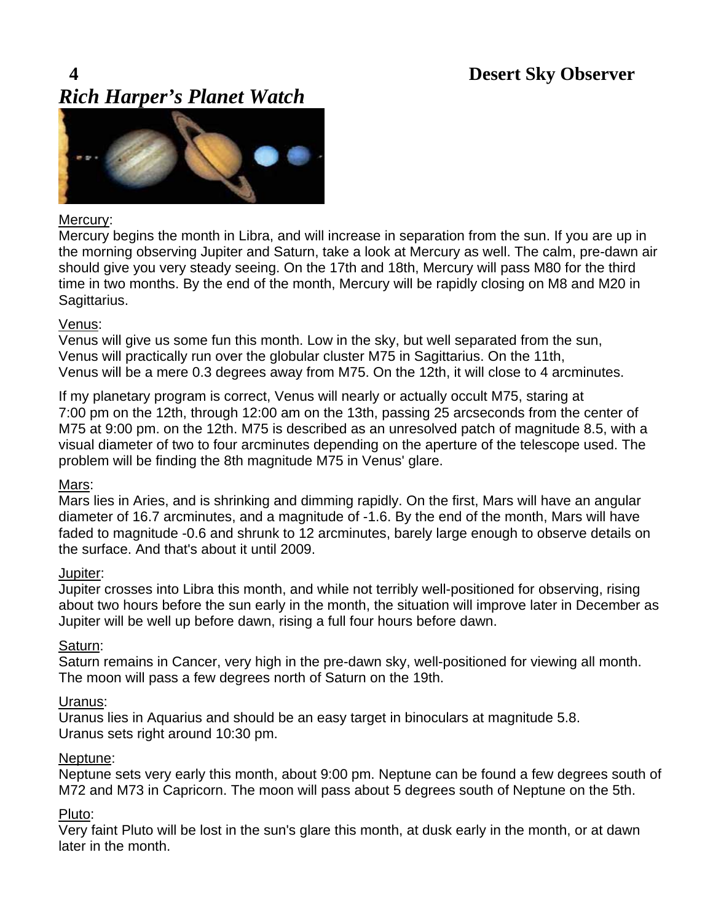#### **4 Desert Sky Observer**  *Rich Harper's Planet Watch*



#### Mercury:

Mercury begins the month in Libra, and will increase in separation from the sun. If you are up in the morning observing Jupiter and Saturn, take a look at Mercury as well. The calm, pre-dawn air should give you very steady seeing. On the 17th and 18th, Mercury will pass M80 for the third time in two months. By the end of the month, Mercury will be rapidly closing on M8 and M20 in Sagittarius.

#### Venus:

Venus will give us some fun this month. Low in the sky, but well separated from the sun, Venus will practically run over the globular cluster M75 in Sagittarius. On the 11th, Venus will be a mere 0.3 degrees away from M75. On the 12th, it will close to 4 arcminutes.

If my planetary program is correct, Venus will nearly or actually occult M75, staring at 7:00 pm on the 12th, through 12:00 am on the 13th, passing 25 arcseconds from the center of M75 at 9:00 pm. on the 12th. M75 is described as an unresolved patch of magnitude 8.5, with a visual diameter of two to four arcminutes depending on the aperture of the telescope used. The problem will be finding the 8th magnitude M75 in Venus' glare.

#### Mars:

Mars lies in Aries, and is shrinking and dimming rapidly. On the first, Mars will have an angular diameter of 16.7 arcminutes, and a magnitude of -1.6. By the end of the month, Mars will have faded to magnitude -0.6 and shrunk to 12 arcminutes, barely large enough to observe details on the surface. And that's about it until 2009.

#### Jupiter:

Jupiter crosses into Libra this month, and while not terribly well-positioned for observing, rising about two hours before the sun early in the month, the situation will improve later in December as Jupiter will be well up before dawn, rising a full four hours before dawn.

#### Saturn:

Saturn remains in Cancer, very high in the pre-dawn sky, well-positioned for viewing all month. The moon will pass a few degrees north of Saturn on the 19th.

#### Uranus:

Uranus lies in Aquarius and should be an easy target in binoculars at magnitude 5.8. Uranus sets right around 10:30 pm.

#### Neptune:

Neptune sets very early this month, about 9:00 pm. Neptune can be found a few degrees south of M72 and M73 in Capricorn. The moon will pass about 5 degrees south of Neptune on the 5th.

#### Pluto:

Very faint Pluto will be lost in the sun's glare this month, at dusk early in the month, or at dawn later in the month.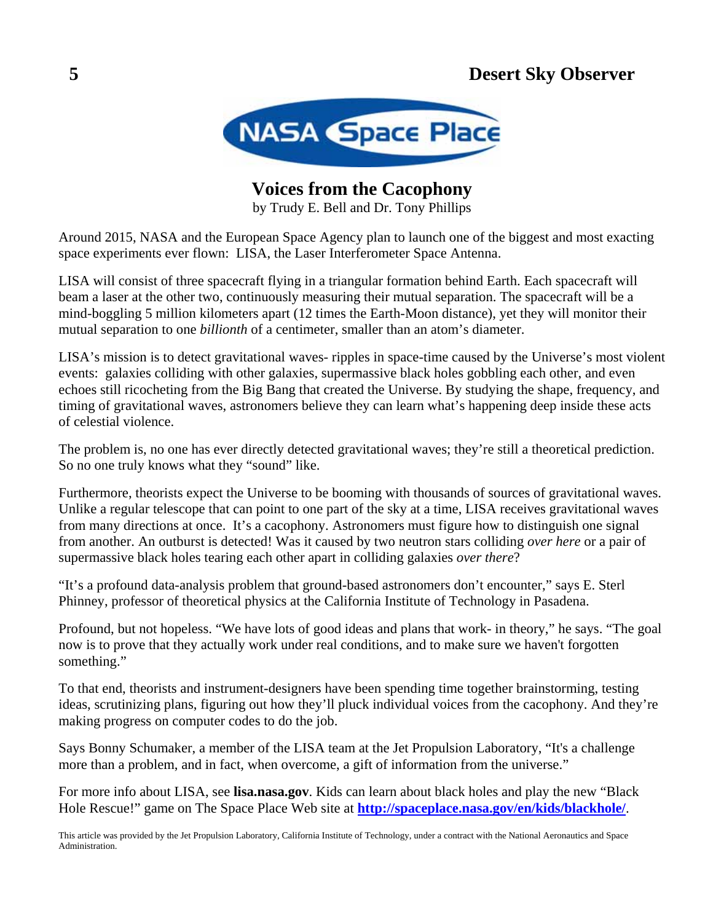

**Voices from the Cacophony**

by Trudy E. Bell and Dr. Tony Phillips

Around 2015, NASA and the European Space Agency plan to launch one of the biggest and most exacting space experiments ever flown: LISA, the Laser Interferometer Space Antenna.

LISA will consist of three spacecraft flying in a triangular formation behind Earth. Each spacecraft will beam a laser at the other two, continuously measuring their mutual separation. The spacecraft will be a mind-boggling 5 million kilometers apart (12 times the Earth-Moon distance), yet they will monitor their mutual separation to one *billionth* of a centimeter, smaller than an atom's diameter.

LISA's mission is to detect gravitational waves- ripples in space-time caused by the Universe's most violent events: galaxies colliding with other galaxies, supermassive black holes gobbling each other, and even echoes still ricocheting from the Big Bang that created the Universe. By studying the shape, frequency, and timing of gravitational waves, astronomers believe they can learn what's happening deep inside these acts of celestial violence.

The problem is, no one has ever directly detected gravitational waves; they're still a theoretical prediction. So no one truly knows what they "sound" like.

Furthermore, theorists expect the Universe to be booming with thousands of sources of gravitational waves. Unlike a regular telescope that can point to one part of the sky at a time, LISA receives gravitational waves from many directions at once. It's a cacophony. Astronomers must figure how to distinguish one signal from another. An outburst is detected! Was it caused by two neutron stars colliding *over here* or a pair of supermassive black holes tearing each other apart in colliding galaxies *over there*?

"It's a profound data-analysis problem that ground-based astronomers don't encounter," says E. Sterl Phinney, professor of theoretical physics at the California Institute of Technology in Pasadena.

Profound, but not hopeless. "We have lots of good ideas and plans that work- in theory," he says. "The goal now is to prove that they actually work under real conditions, and to make sure we haven't forgotten something."

To that end, theorists and instrument-designers have been spending time together brainstorming, testing ideas, scrutinizing plans, figuring out how they'll pluck individual voices from the cacophony. And they're making progress on computer codes to do the job.

Says Bonny Schumaker, a member of the LISA team at the Jet Propulsion Laboratory, "It's a challenge more than a problem, and in fact, when overcome, a gift of information from the universe."

For more info about LISA, see **lisa.nasa.gov**. Kids can learn about black holes and play the new "Black Hole Rescue!" game on The Space Place Web site at **<http://spaceplace.nasa.gov/en/kids/blackhole/>**.

This article was provided by the Jet Propulsion Laboratory, California Institute of Technology, under a contract with the National Aeronautics and Space Administration.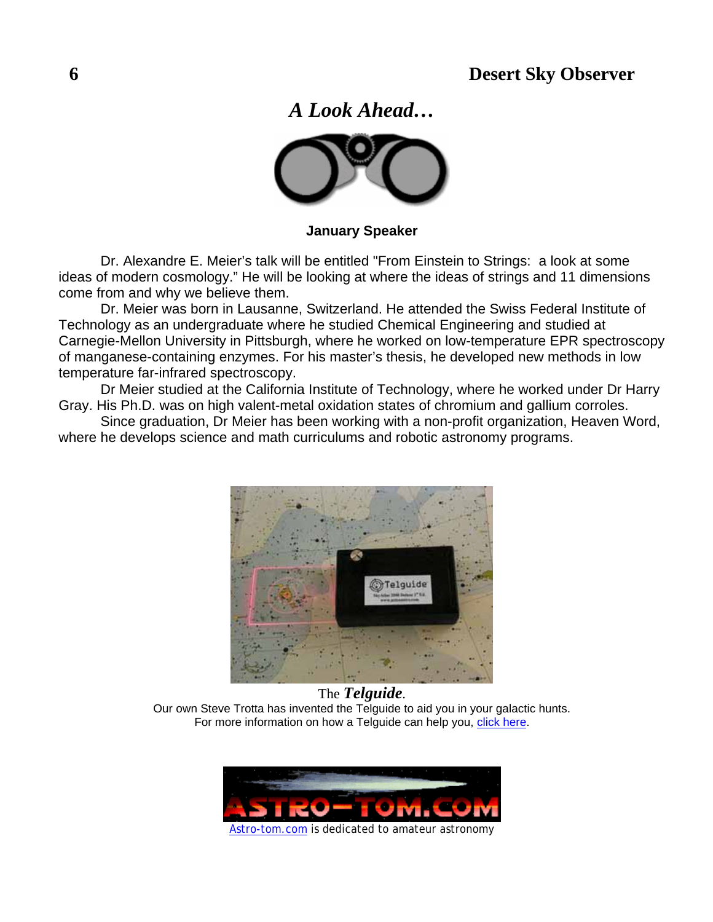*A Look Ahead…* 



**January Speaker** 

Dr. Alexandre E. Meier's talk will be entitled "From Einstein to Strings: a look at some ideas of modern cosmology." He will be looking at where the ideas of strings and 11 dimensions come from and why we believe them.

Dr. Meier was born in Lausanne, Switzerland. He attended the Swiss Federal Institute of Technology as an undergraduate where he studied Chemical Engineering and studied at Carnegie-Mellon University in Pittsburgh, where he worked on low-temperature EPR spectroscopy of manganese-containing enzymes. For his master's thesis, he developed new methods in low temperature far-infrared spectroscopy.

Dr Meier studied at the California Institute of Technology, where he worked under Dr Harry Gray. His Ph.D. was on high valent-metal oxidation states of chromium and gallium corroles.

Since graduation, Dr Meier has been working with a non-profit organization, Heaven Word, where he develops science and math curriculums and robotic astronomy programs.



The *Telguide*. Our own Steve Trotta has invented the Telguide to aid you in your galactic hunts. For more information on how a Telguide can help you, [click here](http://www.actonastro.com/).

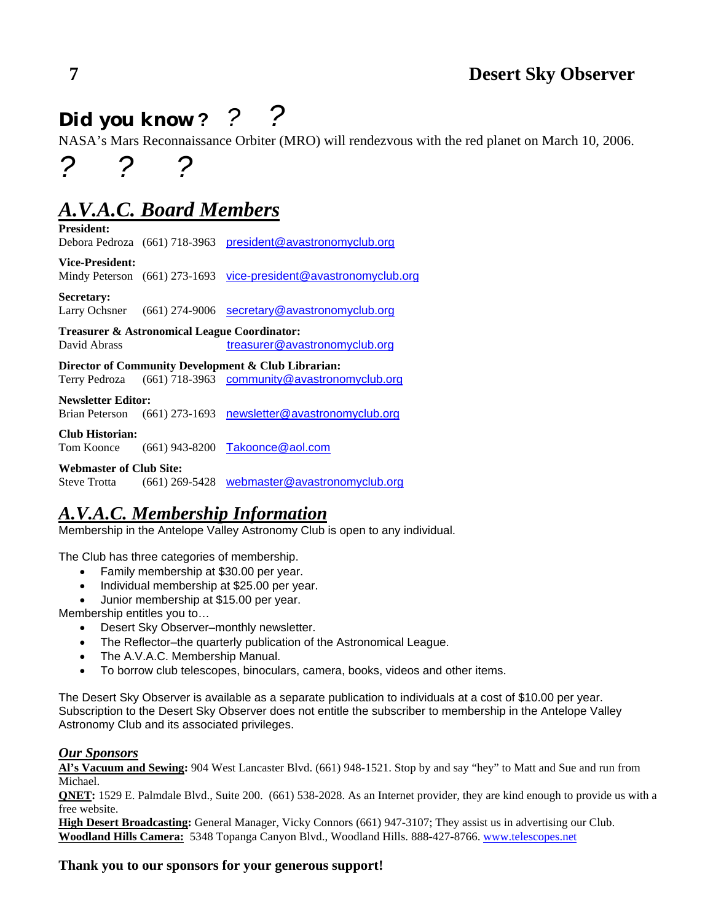## *Did you know* **?** *? ?*

NASA's Mars Reconnaissance Orbiter (MRO) will rendezvous with the red planet on March 10, 2006.

## *A.V.A.C. Board Members*

*? ? ?*

**President:**  Debora Pedroza (661) 718-3963 [president@avastronomyclub.org](mailto:president@avastronomyclub.org) **Vice-President:**  Mindy Peterson (661) 273-1693 [vice-president@avastronomyclub.org](mailto:vice-president@avastronomyclub.org)

**Secretary:**  Larry Ochsner (661) 274-9006 [secretary@avastronomyclub.org](mailto:secretary@avastronomyclub.org)

**Treasurer & Astronomical League Coordinator:**  David Abrass [treasurer@avastronomyclub.org](mailto:treasurer@avastronomyclub.org)

**Director of Community Development & Club Librarian:**  Terry Pedroza (661) 718-3963 [community@avastronomyclub.org](mailto:community@avastronomyclub.org)

#### **Newsletter Editor:**

Brian Peterson (661) 273-1693 [newsletter@avastronomyclub.org](mailto:newsletter@avastronomyclub.org)

#### **Club Historian:**

Tom Koonce (661) 943-8200 [Takoonce@aol.com](mailto:Takoonce@aol.com)

#### **Webmaster of Club Site:**

Steve Trotta (661) 269-5428 [webmaster@avastronomyclub.org](mailto:webmaster@avastronomyclub.org)

### *A.V.A.C. Membership Information*

Membership in the Antelope Valley Astronomy Club is open to any individual.

The Club has three categories of membership.

- Family membership at \$30.00 per year.
- Individual membership at \$25.00 per year.
- Junior membership at \$15.00 per year.

Membership entitles you to…

- Desert Sky Observer–monthly newsletter.
- The Reflector–the quarterly publication of the Astronomical League.
- The A.V.A.C. Membership Manual.
- To borrow club telescopes, binoculars, camera, books, videos and other items.

The Desert Sky Observer is available as a separate publication to individuals at a cost of \$10.00 per year. Subscription to the Desert Sky Observer does not entitle the subscriber to membership in the Antelope Valley Astronomy Club and its associated privileges.

#### *Our Sponsors*

**Al's Vacuum and Sewing:** 904 West Lancaster Blvd. (661) 948-1521. Stop by and say "hey" to Matt and Sue and run from Michael.

**QNET:** 1529 E. Palmdale Blvd., Suite 200. (661) 538-2028. As an Internet provider, they are kind enough to provide us with a free website.

**High Desert Broadcasting:** General Manager, Vicky Connors (661) 947-3107; They assist us in advertising our Club. **Woodland Hills Camera:** 5348 Topanga Canyon Blvd., Woodland Hills. 888-427-8766. [www.telescopes.net](http://www.telescopes.net/)

#### **Thank you to our sponsors for your generous support!**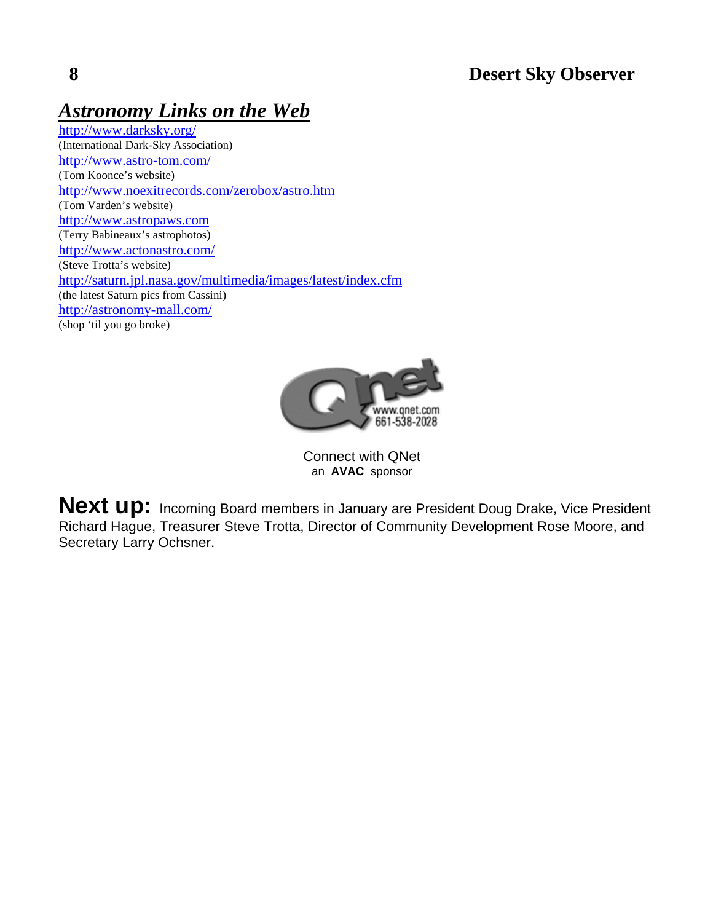## *Astronomy Links on the Web*

<http://www.darksky.org/> (International Dark-Sky Association) <http://www.astro-tom.com/> (Tom Koonce's website) <http://www.noexitrecords.com/zerobox/astro.htm> (Tom Varden's website) [http://www.astropaws.com](http://www.astropaws.com/) (Terry Babineaux's astrophotos) <http://www.actonastro.com/> (Steve Trotta's website) <http://saturn.jpl.nasa.gov/multimedia/images/latest/index.cfm> (the latest Saturn pics from Cassini) <http://astronomy-mall.com/> (shop 'til you go broke)



Connect with QNet an **AVAC** sponsor

**Next up:** Incoming Board members in January are President Doug Drake, Vice President Richard Hague, Treasurer Steve Trotta, Director of Community Development Rose Moore, and Secretary Larry Ochsner.